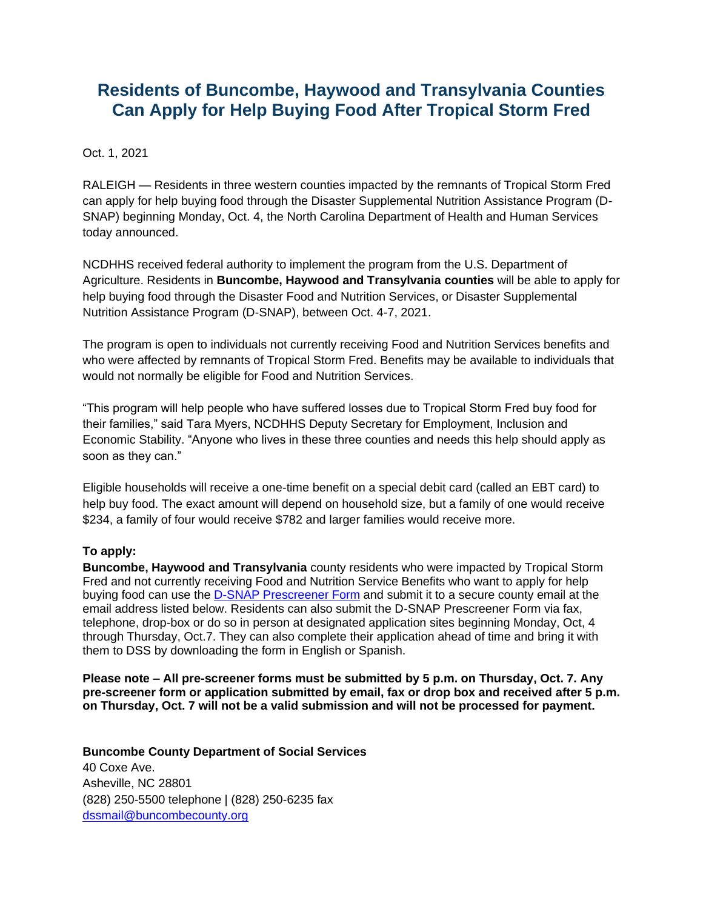# **Residents of Buncombe, Haywood and Transylvania Counties Can Apply for Help Buying Food After Tropical Storm Fred**

Oct. 1, 2021

RALEIGH — Residents in three western counties impacted by the remnants of Tropical Storm Fred can apply for help buying food through the Disaster Supplemental Nutrition Assistance Program (D-SNAP) beginning Monday, Oct. 4, the North Carolina Department of Health and Human Services today announced.

NCDHHS received federal authority to implement the program from the U.S. Department of Agriculture. Residents in **Buncombe, Haywood and Transylvania counties** will be able to apply for help buying food through the Disaster Food and Nutrition Services, or Disaster Supplemental Nutrition Assistance Program (D-SNAP), between Oct. 4-7, 2021.

The program is open to individuals not currently receiving Food and Nutrition Services benefits and who were affected by remnants of Tropical Storm Fred. Benefits may be available to individuals that would not normally be eligible for Food and Nutrition Services.

"This program will help people who have suffered losses due to Tropical Storm Fred buy food for their families," said Tara Myers, NCDHHS Deputy Secretary for Employment, Inclusion and Economic Stability. "Anyone who lives in these three counties and needs this help should apply as soon as they can."

Eligible households will receive a one-time benefit on a special debit card (called an EBT card) to help buy food. The exact amount will depend on household size, but a family of one would receive \$234, a family of four would receive \$782 and larger families would receive more.

## **To apply:**

**Buncombe, Haywood and Transylvania** county residents who were impacted by Tropical Storm Fred and not currently receiving Food and Nutrition Service Benefits who want to apply for help buying food can use the [D-](https://www.ncdhhs.gov/divisions/social-services/dsnap)SNAP Prescreener Form and submit it to a secure county email at the email address listed below. Residents can also submit the D-SNAP Prescreener Form via fax, telephone, drop-box or do so in person at designated application sites beginning Monday, Oct, 4 through Thursday, Oct.7. They can also complete their application ahead of time and bring it with them to DSS by downloading the form in [English](https://policies.ncdhhs.gov/divisional/social-services/forms/dss-1432-application-for-disaster-food-and-nutrition-services/@@display-file/form_file/DSS-1432.pdf) or [Spanish.](https://policies.ncdhhs.gov/divisional/social-services/forms/spanish/dss-1432sp-division-de-servicios-sociales-de-carolina-del-norte-solicitud-de-servicios-de-alimento-y-nutricion-por-desastre/@@display-file/form_file/DSS-1432sp.pdf)

**Please note – All pre-screener forms must be submitted by 5 p.m. on Thursday, Oct. 7. Any pre-screener form or application submitted by email, fax or drop box and received after 5 p.m. on Thursday, Oct. 7 will not be a valid submission and will not be processed for payment.**

**Buncombe County Department of Social Services** 40 Coxe Ave. Asheville, NC 28801 (828) 250-5500 telephone | (828) 250-6235 fax [dssmail@buncombecounty.org](mailto:dssmail@buncombecounty.org)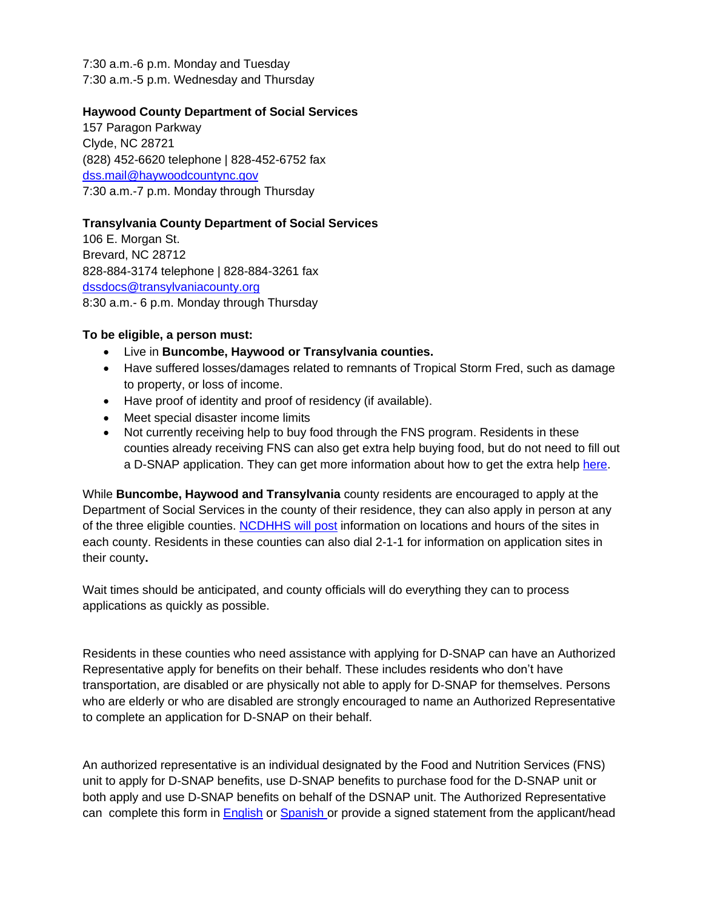7:30 a.m.-6 p.m. Monday and Tuesday 7:30 a.m.-5 p.m. Wednesday and Thursday

### **Haywood County Department of Social Services**

157 Paragon Parkway Clyde, NC 28721 (828) 452-6620 telephone | 828-452-6752 fax [dss.mail@haywoodcountync.gov](mailto:dss.mail@haywoodcountync.gov) 7:30 a.m.-7 p.m. Monday through Thursday

## **Transylvania County Department of Social Services**

106 E. Morgan St. Brevard, NC 28712 828-884-3174 telephone | 828-884-3261 fax [dssdocs@transylvaniacounty.org](mailto:dssdocs@transylvaniacounty.org) 8:30 a.m.- 6 p.m. Monday through Thursday

### **To be eligible, a person must:**

- Live in **Buncombe, Haywood or Transylvania counties.**
- Have suffered losses/damages related to remnants of Tropical Storm Fred, such as damage to property, or loss of income.
- Have proof of identity and proof of residency (if available).
- Meet special disaster income limits
- Not currently receiving help to buy food through the FNS program. Residents in these counties already receiving FNS can also get extra help buying food, but do not need to fill out a D-SNAP application. They can get more information about how to get the extra help [here.](https://www.ncdhhs.gov/divisions/social-services/food-and-nutrition-services-food-stamps/fns-food-stamps-replacementsupplement-request-form)

While **Buncombe, Haywood and Transylvania** county residents are encouraged to apply at the Department of Social Services in the county of their residence, they can also apply in person at any of the three eligible counties. [NCDHHS will post](https://www.ncdhhs.gov/divisions/social-services/dsnap) information on locations and hours of the sites in each county. Residents in these counties can also dial 2-1-1 for information on application sites in their county**.** 

Wait times should be anticipated, and county officials will do everything they can to process applications as quickly as possible.

Residents in these counties who need assistance with applying for D-SNAP can have an Authorized Representative apply for benefits on their behalf. These includes residents who don't have transportation, are disabled or are physically not able to apply for D-SNAP for themselves. Persons who are elderly or who are disabled are strongly encouraged to name an Authorized Representative to complete an application for D-SNAP on their behalf.

An authorized representative is an individual designated by the Food and Nutrition Services (FNS) unit to apply for D-SNAP benefits, use D-SNAP benefits to purchase food for the D-SNAP unit or both apply and use D-SNAP benefits on behalf of the DSNAP unit. The Authorized Representative can complete this form in **English or Spanish** or provide a signed statement from the applicant/head